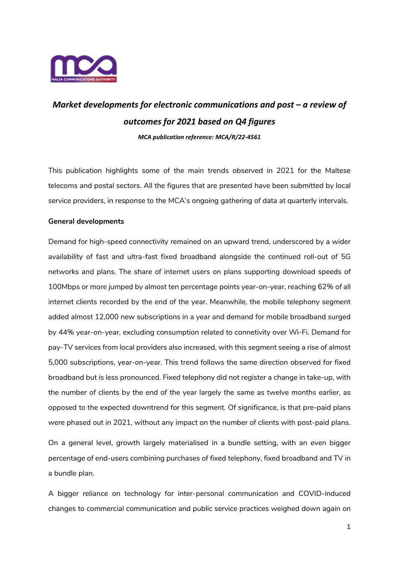

# *Market developments for electronic communications and post – a review of outcomes for 2021 based on Q4 figures*

*MCA publication reference: MCA/R/22-4561*

This publication highlights some of the main trends observed in 2021 for the Maltese telecoms and postal sectors. All the figures that are presented have been submitted by local service providers, in response to the MCA's ongoing gathering of data at quarterly intervals.

# **General developments**

Demand for high-speed connectivity remained on an upward trend, underscored by a wider availability of fast and ultra-fast fixed broadband alongside the continued roll-out of 5G networks and plans. The share of internet users on plans supporting download speeds of 100Mbps or more jumped by almost ten percentage points year-on-year, reaching 62% of all internet clients recorded by the end of the year. Meanwhile, the mobile telephony segment added almost 12,000 new subscriptions in a year and demand for mobile broadband surged by 44% year-on-year, excluding consumption related to connetivity over Wi-Fi. Demand for pay-TV services from local providers also increased, with this segment seeing a rise of almost 5,000 subscriptions, year-on-year. This trend follows the same direction observed for fixed broadband but is less pronounced. Fixed telephony did not register a change in take-up, with the number of clients by the end of the year largely the same as twelve months earlier, as opposed to the expected downtrend for this segment. Of significance, is that pre-paid plans were phased out in 2021, without any impact on the number of clients with post-paid plans.

On a general level, growth largely materialised in a bundle setting, with an even bigger percentage of end-users combining purchases of fixed telephony, fixed broadband and TV in a bundle plan.

A bigger reliance on technology for inter-personal communication and COVID-induced changes to commercial communication and public service practices weighed down again on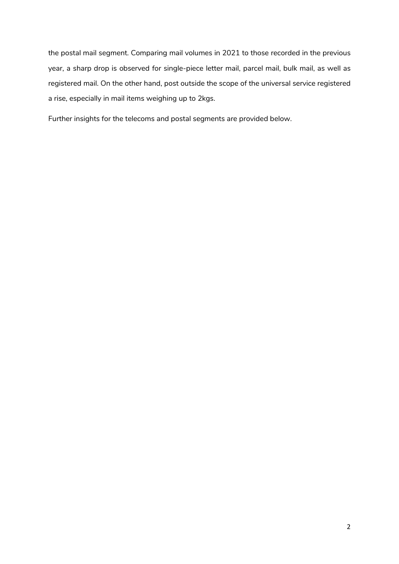the postal mail segment. Comparing mail volumes in 2021 to those recorded in the previous year, a sharp drop is observed for single-piece letter mail, parcel mail, bulk mail, as well as registered mail. On the other hand, post outside the scope of the universal service registered a rise, especially in mail items weighing up to 2kgs.

Further insights for the telecoms and postal segments are provided below.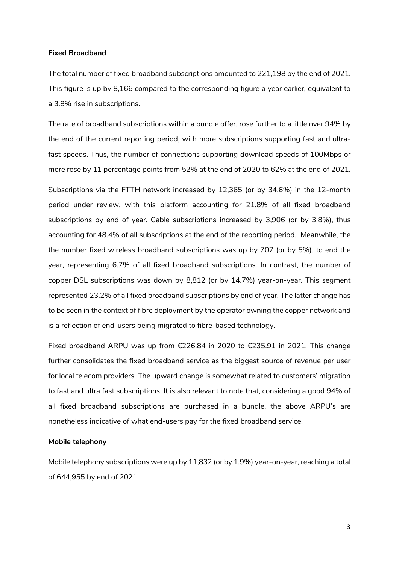#### **Fixed Broadband**

The total number of fixed broadband subscriptions amounted to 221,198 by the end of 2021. This figure is up by 8,166 compared to the corresponding figure a year earlier, equivalent to a 3.8% rise in subscriptions.

The rate of broadband subscriptions within a bundle offer, rose further to a little over 94% by the end of the current reporting period, with more subscriptions supporting fast and ultrafast speeds. Thus, the number of connections supporting download speeds of 100Mbps or more rose by 11 percentage points from 52% at the end of 2020 to 62% at the end of 2021.

Subscriptions via the FTTH network increased by 12,365 (or by 34.6%) in the 12-month period under review, with this platform accounting for 21.8% of all fixed broadband subscriptions by end of year. Cable subscriptions increased by 3,906 (or by 3.8%), thus accounting for 48.4% of all subscriptions at the end of the reporting period. Meanwhile, the the number fixed wireless broadband subscriptions was up by 707 (or by 5%), to end the year, representing 6.7% of all fixed broadband subscriptions. In contrast, the number of copper DSL subscriptions was down by 8,812 (or by 14.7%) year-on-year. This segment represented 23.2% of all fixed broadband subscriptions by end of year. The latter change has to be seen in the context of fibre deployment by the operator owning the copper network and is a reflection of end-users being migrated to fibre-based technology.

Fixed broadband ARPU was up from €226.84 in 2020 to €235.91 in 2021. This change further consolidates the fixed broadband service as the biggest source of revenue per user for local telecom providers. The upward change is somewhat related to customers' migration to fast and ultra fast subscriptions. It is also relevant to note that, considering a good 94% of all fixed broadband subscriptions are purchased in a bundle, the above ARPU's are nonetheless indicative of what end-users pay for the fixed broadband service.

#### **Mobile telephony**

Mobile telephony subscriptions were up by 11,832 (or by 1.9%) year-on-year, reaching a total of 644,955 by end of 2021.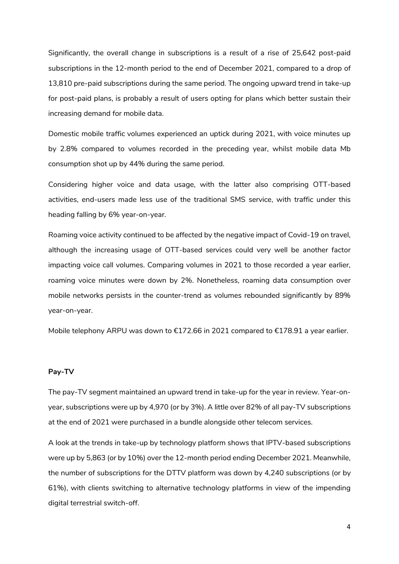Significantly, the overall change in subscriptions is a result of a rise of 25,642 post-paid subscriptions in the 12-month period to the end of December 2021, compared to a drop of 13,810 pre-paid subscriptions during the same period. The ongoing upward trend in take-up for post-paid plans, is probably a result of users opting for plans which better sustain their increasing demand for mobile data.

Domestic mobile traffic volumes experienced an uptick during 2021, with voice minutes up by 2.8% compared to volumes recorded in the preceding year, whilst mobile data Mb consumption shot up by 44% during the same period.

Considering higher voice and data usage, with the latter also comprising OTT-based activities, end-users made less use of the traditional SMS service, with traffic under this heading falling by 6% year-on-year.

Roaming voice activity continued to be affected by the negative impact of Covid-19 on travel, although the increasing usage of OTT-based services could very well be another factor impacting voice call volumes. Comparing volumes in 2021 to those recorded a year earlier, roaming voice minutes were down by 2%. Nonetheless, roaming data consumption over mobile networks persists in the counter-trend as volumes rebounded significantly by 89% year-on-year.

Mobile telephony ARPU was down to €172.66 in 2021 compared to €178.91 a year earlier.

## **Pay-TV**

The pay-TV segment maintained an upward trend in take-up for the year in review. Year-onyear, subscriptions were up by 4,970 (or by 3%). A little over 82% of all pay-TV subscriptions at the end of 2021 were purchased in a bundle alongside other telecom services.

A look at the trends in take-up by technology platform shows that IPTV-based subscriptions were up by 5,863 (or by 10%) over the 12-month period ending December 2021. Meanwhile, the number of subscriptions for the DTTV platform was down by 4,240 subscriptions (or by 61%), with clients switching to alternative technology platforms in view of the impending digital terrestrial switch-off.

4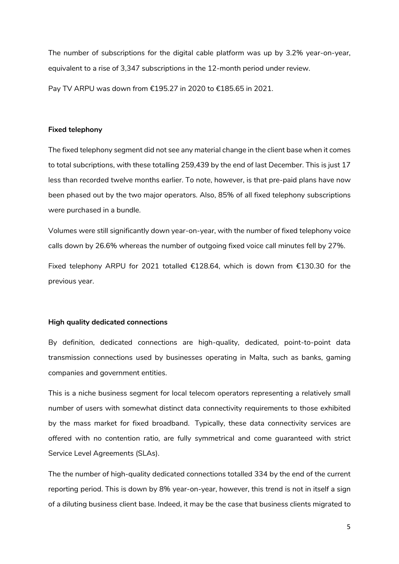The number of subscriptions for the digital cable platform was up by 3.2% year-on-year, equivalent to a rise of 3,347 subscriptions in the 12-month period under review.

Pay TV ARPU was down from €195.27 in 2020 to €185.65 in 2021.

## **Fixed telephony**

The fixed telephony segment did not see any material change in the client base when it comes to total subcriptions, with these totalling 259,439 by the end of last December. This is just 17 less than recorded twelve months earlier. To note, however, is that pre-paid plans have now been phased out by the two major operators. Also, 85% of all fixed telephony subscriptions were purchased in a bundle.

Volumes were still significantly down year-on-year, with the number of fixed telephony voice calls down by 26.6% whereas the number of outgoing fixed voice call minutes fell by 27%.

Fixed telephony ARPU for 2021 totalled €128.64, which is down from €130.30 for the previous year.

### **High quality dedicated connections**

By definition, dedicated connections are high-quality, dedicated, point-to-point data transmission connections used by businesses operating in Malta, such as banks, gaming companies and government entities.

This is a niche business segment for local telecom operators representing a relatively small number of users with somewhat distinct data connectivity requirements to those exhibited by the mass market for fixed broadband. Typically, these data connectivity services are offered with no contention ratio, are fully symmetrical and come guaranteed with strict Service Level Agreements (SLAs).

The the number of high-quality dedicated connections totalled 334 by the end of the current reporting period. This is down by 8% year-on-year, however, this trend is not in itself a sign of a diluting business client base. Indeed, it may be the case that business clients migrated to